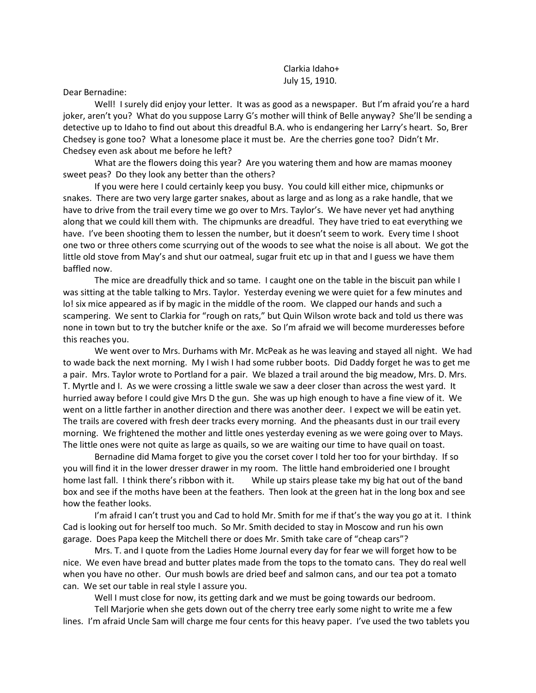Clarkia Idaho+ July 15, 1910.

Dear Bernadine:

Well! I surely did enjoy your letter. It was as good as a newspaper. But I'm afraid you're a hard joker, aren't you? What do you suppose Larry G's mother will think of Belle anyway? She'll be sending a detective up to Idaho to find out about this dreadful B.A. who is endangering her Larry's heart. So, Brer Chedsey is gone too? What a lonesome place it must be. Are the cherries gone too? Didn't Mr. Chedsey even ask about me before he left?

What are the flowers doing this year? Are you watering them and how are mamas mooney sweet peas? Do they look any better than the others?

If you were here I could certainly keep you busy. You could kill either mice, chipmunks or snakes. There are two very large garter snakes, about as large and as long as a rake handle, that we have to drive from the trail every time we go over to Mrs. Taylor's. We have never yet had anything along that we could kill them with. The chipmunks are dreadful. They have tried to eat everything we have. I've been shooting them to lessen the number, but it doesn't seem to work. Every time I shoot one two or three others come scurrying out of the woods to see what the noise is all about. We got the little old stove from May's and shut our oatmeal, sugar fruit etc up in that and I guess we have them baffled now.

The mice are dreadfully thick and so tame. I caught one on the table in the biscuit pan while I was sitting at the table talking to Mrs. Taylor. Yesterday evening we were quiet for a few minutes and lo! six mice appeared as if by magic in the middle of the room. We clapped our hands and such a scampering. We sent to Clarkia for "rough on rats," but Quin Wilson wrote back and told us there was none in town but to try the butcher knife or the axe. So I'm afraid we will become murderesses before this reaches you.

We went over to Mrs. Durhams with Mr. McPeak as he was leaving and stayed all night. We had to wade back the next morning. My I wish I had some rubber boots. Did Daddy forget he was to get me a pair. Mrs. Taylor wrote to Portland for a pair. We blazed a trail around the big meadow, Mrs. D. Mrs. T. Myrtle and I. As we were crossing a little swale we saw a deer closer than across the west yard. It hurried away before I could give Mrs D the gun. She was up high enough to have a fine view of it. We went on a little farther in another direction and there was another deer. I expect we will be eatin yet. The trails are covered with fresh deer tracks every morning. And the pheasants dust in our trail every morning. We frightened the mother and little ones yesterday evening as we were going over to Mays. The little ones were not quite as large as quails, so we are waiting our time to have quail on toast.

Bernadine did Mama forget to give you the corset cover I told her too for your birthday. If so you will find it in the lower dresser drawer in my room. The little hand embroideried one I brought home last fall. I think there's ribbon with it. While up stairs please take my big hat out of the band box and see if the moths have been at the feathers. Then look at the green hat in the long box and see how the feather looks.

I'm afraid I can't trust you and Cad to hold Mr. Smith for me if that's the way you go at it. I think Cad is looking out for herself too much. So Mr. Smith decided to stay in Moscow and run his own garage. Does Papa keep the Mitchell there or does Mr. Smith take care of "cheap cars"?

Mrs. T. and I quote from the Ladies Home Journal every day for fear we will forget how to be nice. We even have bread and butter plates made from the tops to the tomato cans. They do real well when you have no other. Our mush bowls are dried beef and salmon cans, and our tea pot a tomato can. We set our table in real style I assure you.

Well I must close for now, its getting dark and we must be going towards our bedroom.

Tell Marjorie when she gets down out of the cherry tree early some night to write me a few lines. I'm afraid Uncle Sam will charge me four cents for this heavy paper. I've used the two tablets you